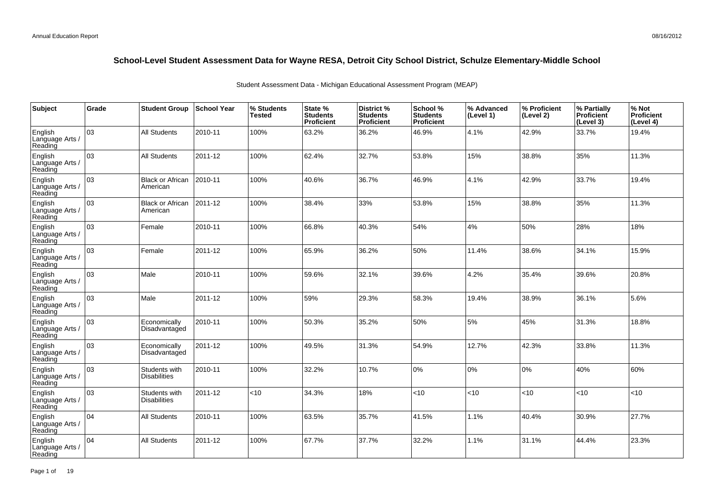| Subject                               | Grade | <b>Student Group</b>                 | <b>School Year</b> | % Students<br><b>Tested</b> | State %<br><b>Students</b><br><b>Proficient</b> | District %<br><b>Students</b><br><b>Proficient</b> | School %<br><b>Students</b><br><b>Proficient</b> | % Advanced<br>(Level 1) | % Proficient<br>(Level 2) | % Partially<br>Proficient<br>(Level 3) | % Not<br>Proficient<br>(Level 4) |
|---------------------------------------|-------|--------------------------------------|--------------------|-----------------------------|-------------------------------------------------|----------------------------------------------------|--------------------------------------------------|-------------------------|---------------------------|----------------------------------------|----------------------------------|
| English<br>Language Arts /<br>Reading | 03    | All Students                         | 2010-11            | 100%                        | 63.2%                                           | 36.2%                                              | 46.9%                                            | 4.1%                    | 42.9%                     | 33.7%                                  | 19.4%                            |
| English<br>Language Arts /<br>Reading | 03    | <b>All Students</b>                  | 2011-12            | 100%                        | 62.4%                                           | 32.7%                                              | 53.8%                                            | 15%                     | 38.8%                     | 35%                                    | 11.3%                            |
| English<br>Language Arts /<br>Reading | 03    | <b>Black or African</b><br>American  | 2010-11            | 100%                        | 40.6%                                           | 36.7%                                              | 46.9%                                            | 4.1%                    | 42.9%                     | 33.7%                                  | 19.4%                            |
| English<br>Language Arts /<br>Reading | 03    | <b>Black or African</b><br>American  | 2011-12            | 100%                        | 38.4%                                           | 33%                                                | 53.8%                                            | 15%                     | 38.8%                     | 35%                                    | 11.3%                            |
| English<br>Language Arts /<br>Reading | 03    | Female                               | 2010-11            | 100%                        | 66.8%                                           | 40.3%                                              | 54%                                              | 4%                      | 50%                       | 28%                                    | 18%                              |
| English<br>Language Arts /<br>Reading | 03    | Female                               | 2011-12            | 100%                        | 65.9%                                           | 36.2%                                              | 50%                                              | 11.4%                   | 38.6%                     | 34.1%                                  | 15.9%                            |
| English<br>Language Arts /<br>Reading | 03    | Male                                 | 2010-11            | 100%                        | 59.6%                                           | 32.1%                                              | 39.6%                                            | 4.2%                    | 35.4%                     | 39.6%                                  | 20.8%                            |
| English<br>Language Arts /<br>Reading | 03    | Male                                 | 2011-12            | 100%                        | 59%                                             | 29.3%                                              | 58.3%                                            | 19.4%                   | 38.9%                     | 36.1%                                  | 5.6%                             |
| English<br>Language Arts /<br>Reading | 03    | Economically<br>Disadvantaged        | 2010-11            | 100%                        | 50.3%                                           | 35.2%                                              | 50%                                              | 5%                      | 45%                       | 31.3%                                  | 18.8%                            |
| English<br>Language Arts /<br>Reading | оз    | Economically<br>Disadvantaged        | 2011-12            | 100%                        | 49.5%                                           | 31.3%                                              | 54.9%                                            | 12.7%                   | 42.3%                     | 33.8%                                  | 11.3%                            |
| English<br>Language Arts /<br>Reading | 03    | Students with<br><b>Disabilities</b> | 2010-11            | 100%                        | 32.2%                                           | 10.7%                                              | 0%                                               | 0%                      | 10%                       | 40%                                    | 60%                              |
| English<br>Language Arts /<br>Reading | 03    | Students with<br><b>Disabilities</b> | 2011-12            | <10                         | 34.3%                                           | 18%                                                | <10                                              | < 10                    | <10                       | <10                                    | <10                              |
| English<br>Language Arts /<br>Reading | 104   | <b>All Students</b>                  | 2010-11            | 100%                        | 63.5%                                           | 35.7%                                              | 41.5%                                            | 1.1%                    | 40.4%                     | 30.9%                                  | 27.7%                            |
| English<br>Language Arts<br>Reading   | 04    | <b>All Students</b>                  | 2011-12            | 100%                        | 67.7%                                           | 37.7%                                              | 32.2%                                            | 1.1%                    | 31.1%                     | 44.4%                                  | 23.3%                            |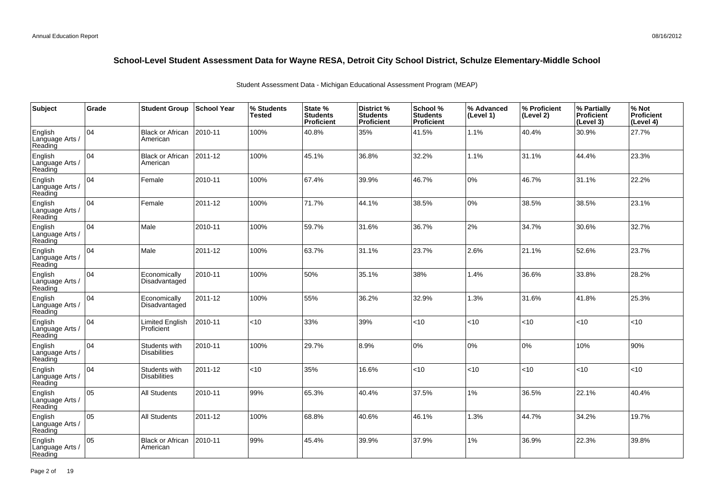| Subject                               | Grade | <b>Student Group</b>                 | <b>School Year</b> | % Students<br><b>Tested</b> | State %<br><b>Students</b><br><b>Proficient</b> | District %<br><b>Students</b><br><b>Proficient</b> | School %<br><b>Students</b><br>Proficient | % Advanced<br>(Level 1) | % Proficient<br>(Level 2) | % Partially<br>Proficient<br>(Level 3) | % Not<br>Proficient<br>(Level 4) |
|---------------------------------------|-------|--------------------------------------|--------------------|-----------------------------|-------------------------------------------------|----------------------------------------------------|-------------------------------------------|-------------------------|---------------------------|----------------------------------------|----------------------------------|
| English<br>Language Arts /<br>Reading | 104   | <b>Black or African</b><br>American  | 2010-11            | 100%                        | 40.8%                                           | 35%                                                | 41.5%                                     | 1.1%                    | 40.4%                     | 30.9%                                  | 27.7%                            |
| English<br>Language Arts /<br>Reading | 104   | <b>Black or African</b><br>American  | 2011-12            | 100%                        | 45.1%                                           | 36.8%                                              | 32.2%                                     | 1.1%                    | 31.1%                     | 44.4%                                  | 23.3%                            |
| English<br>Language Arts /<br>Reading | 104   | Female                               | 2010-11            | 100%                        | 67.4%                                           | 39.9%                                              | 46.7%                                     | 0%                      | 46.7%                     | 31.1%                                  | 22.2%                            |
| English<br>Language Arts /<br>Reading | 104   | Female                               | 2011-12            | 100%                        | 71.7%                                           | 44.1%                                              | 38.5%                                     | 0%                      | 38.5%                     | 38.5%                                  | 23.1%                            |
| English<br>Language Arts /<br>Reading | 104   | Male                                 | 2010-11            | 100%                        | 59.7%                                           | 31.6%                                              | 36.7%                                     | 2%                      | 34.7%                     | 30.6%                                  | 32.7%                            |
| English<br>Language Arts /<br>Reading | 04    | Male                                 | 2011-12            | 100%                        | 63.7%                                           | 31.1%                                              | 23.7%                                     | 2.6%                    | 21.1%                     | 52.6%                                  | 23.7%                            |
| English<br>Language Arts /<br>Reading | 104   | Economically<br>Disadvantaged        | 2010-11            | 100%                        | 50%                                             | 35.1%                                              | 38%                                       | 1.4%                    | 36.6%                     | 33.8%                                  | 28.2%                            |
| English<br>Language Arts /<br>Reading | 104   | Economically<br>Disadvantaged        | 2011-12            | 100%                        | 55%                                             | 36.2%                                              | 32.9%                                     | 1.3%                    | 31.6%                     | 41.8%                                  | 25.3%                            |
| English<br>Language Arts /<br>Reading | 04    | Limited English<br>Proficient        | 2010-11            | <10                         | 33%                                             | 39%                                                | < 10                                      | < 10                    | $<$ 10                    | < 10                                   | <10                              |
| English<br>Language Arts<br>Reading   | 04    | Students with<br><b>Disabilities</b> | 2010-11            | 100%                        | 29.7%                                           | 8.9%                                               | 0%                                        | 0%                      | 0%                        | 10%                                    | 90%                              |
| English<br>Language Arts /<br>Reading | 04    | Students with<br><b>Disabilities</b> | 2011-12            | < 10                        | 35%                                             | 16.6%                                              | <10                                       | < 10                    | < 10                      | < 10                                   | <10                              |
| English<br>Language Arts /<br>Reading | 05    | <b>All Students</b>                  | 2010-11            | 99%                         | 65.3%                                           | 40.4%                                              | 37.5%                                     | 1%                      | 36.5%                     | 22.1%                                  | 40.4%                            |
| English<br>Language Arts /<br>Reading | 05    | <b>All Students</b>                  | 2011-12            | 100%                        | 68.8%                                           | 40.6%                                              | 46.1%                                     | 1.3%                    | 44.7%                     | 34.2%                                  | 19.7%                            |
| English<br>Language Arts<br>Reading   | 05    | <b>Black or African</b><br>American  | 2010-11            | 99%                         | 45.4%                                           | 39.9%                                              | 37.9%                                     | $1\%$                   | 36.9%                     | 22.3%                                  | 39.8%                            |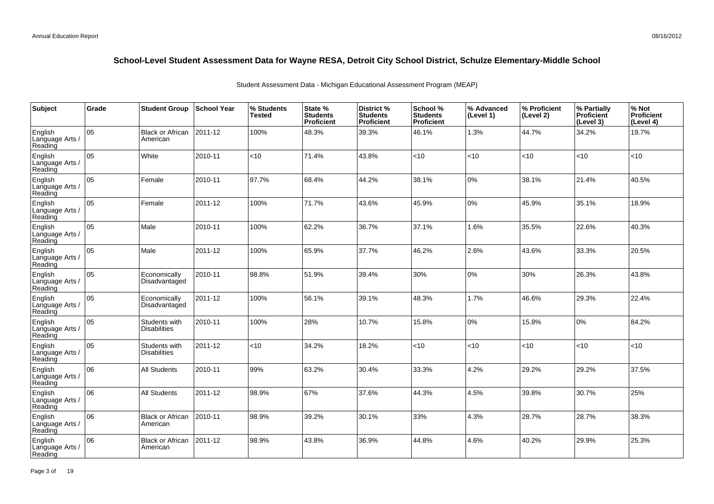| Subject                               | Grade | <b>Student Group</b>                 | <b>School Year</b> | % Students<br><b>Tested</b> | State %<br><b>Students</b><br><b>Proficient</b> | District %<br><b>Students</b><br><b>Proficient</b> | School %<br><b>Students</b><br>Proficient | % Advanced<br>(Level 1) | % Proficient<br>(Level 2) | % Partially<br>Proficient<br>(Level 3) | % Not<br>Proficient<br>(Level 4) |
|---------------------------------------|-------|--------------------------------------|--------------------|-----------------------------|-------------------------------------------------|----------------------------------------------------|-------------------------------------------|-------------------------|---------------------------|----------------------------------------|----------------------------------|
| English<br>Language Arts /<br>Reading | 05    | <b>Black or African</b><br>American  | 2011-12            | 100%                        | 48.3%                                           | 39.3%                                              | 46.1%                                     | 1.3%                    | 44.7%                     | 34.2%                                  | 19.7%                            |
| English<br>Language Arts /<br>Reading | 05    | White                                | 2010-11            | <10                         | 71.4%                                           | 43.8%                                              | <10                                       | < 10                    | < 10                      | < 10                                   | <10                              |
| English<br>Language Arts /<br>Reading | 05    | Female                               | 2010-11            | 97.7%                       | 68.4%                                           | 44.2%                                              | 38.1%                                     | 0%                      | 38.1%                     | 21.4%                                  | 40.5%                            |
| English<br>Language Arts /<br>Reading | 05    | Female                               | 2011-12            | 100%                        | 71.7%                                           | 43.6%                                              | 45.9%                                     | 0%                      | 45.9%                     | 35.1%                                  | 18.9%                            |
| English<br>Language Arts /<br>Reading | 05    | Male                                 | 2010-11            | 100%                        | 62.2%                                           | 36.7%                                              | 37.1%                                     | 1.6%                    | 35.5%                     | 22.6%                                  | 40.3%                            |
| English<br>Language Arts /<br>Reading | 05    | Male                                 | 2011-12            | 100%                        | 65.9%                                           | 37.7%                                              | 46.2%                                     | 2.6%                    | 43.6%                     | 33.3%                                  | 20.5%                            |
| English<br>Language Arts /<br>Reading | 05    | Economically<br>Disadvantaged        | 2010-11            | 98.8%                       | 51.9%                                           | 39.4%                                              | 30%                                       | 0%                      | 30%                       | 26.3%                                  | 43.8%                            |
| English<br>Language Arts /<br>Reading | 05    | Economically<br>Disadvantaged        | 2011-12            | 100%                        | 56.1%                                           | 39.1%                                              | 48.3%                                     | 1.7%                    | 46.6%                     | 29.3%                                  | 22.4%                            |
| English<br>Language Arts /<br>Reading | 05    | Students with<br><b>Disabilities</b> | 2010-11            | 100%                        | 28%                                             | 10.7%                                              | 15.8%                                     | 0%                      | 15.8%                     | 0%                                     | 84.2%                            |
| English<br>Language Arts<br>Reading   | 05    | Students with<br><b>Disabilities</b> | 2011-12            | <10                         | 34.2%                                           | 18.2%                                              | <10                                       | <10                     | <10                       | <10                                    | <10                              |
| English<br>Language Arts /<br>Reading | 06    | <b>All Students</b>                  | 2010-11            | 99%                         | 63.2%                                           | 30.4%                                              | 33.3%                                     | 4.2%                    | 29.2%                     | 29.2%                                  | 37.5%                            |
| English<br>Language Arts /<br>Reading | 06    | All Students                         | 2011-12            | 98.9%                       | 67%                                             | 37.6%                                              | 44.3%                                     | 4.5%                    | 39.8%                     | 30.7%                                  | 25%                              |
| English<br>Language Arts /<br>Reading | 06    | <b>Black or African</b><br>American  | 2010-11            | 98.9%                       | 39.2%                                           | 30.1%                                              | 33%                                       | 4.3%                    | 28.7%                     | 28.7%                                  | 38.3%                            |
| English<br>Language Arts<br>Reading   | 06    | <b>Black or African</b><br>American  | 2011-12            | 98.9%                       | 43.8%                                           | 36.9%                                              | 44.8%                                     | 4.6%                    | 40.2%                     | 29.9%                                  | 25.3%                            |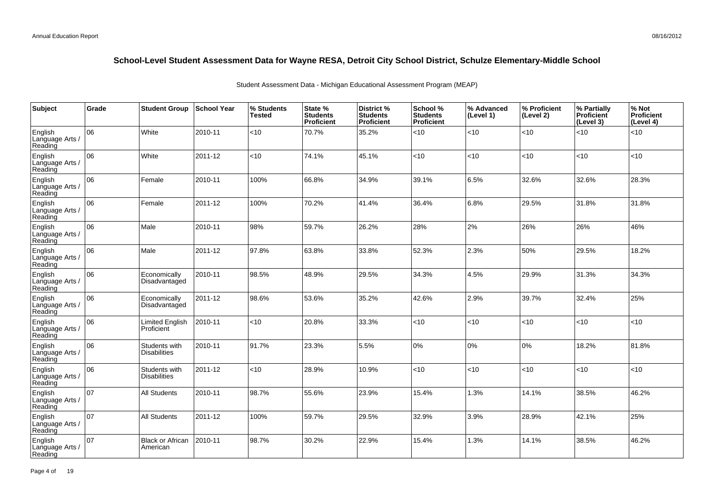| Subject                               | Grade | <b>Student Group</b>                 | <b>School Year</b> | % Students<br><b>Tested</b> | State %<br><b>Students</b><br><b>Proficient</b> | District %<br><b>Students</b><br><b>Proficient</b> | School %<br><b>Students</b><br><b>Proficient</b> | % Advanced<br>(Level 1) | % Proficient<br>(Level 2) | % Partially<br>Proficient<br>(Level 3) | % Not<br>Proficient<br>(Level 4) |
|---------------------------------------|-------|--------------------------------------|--------------------|-----------------------------|-------------------------------------------------|----------------------------------------------------|--------------------------------------------------|-------------------------|---------------------------|----------------------------------------|----------------------------------|
| English<br>Language Arts /<br>Reading | 06    | White                                | 2010-11            | <10                         | 70.7%                                           | 35.2%                                              | <10                                              | < 10                    | <10                       | <10                                    | <10                              |
| English<br>Language Arts /<br>Reading | 06    | White                                | 2011-12            | <10                         | 74.1%                                           | 45.1%                                              | <10                                              | <10                     | <10                       | <10                                    | <10                              |
| English<br>Language Arts /<br>Reading | 06    | Female                               | 2010-11            | 100%                        | 66.8%                                           | 34.9%                                              | 39.1%                                            | 6.5%                    | 32.6%                     | 32.6%                                  | 28.3%                            |
| English<br>Language Arts /<br>Reading | 06    | Female                               | 2011-12            | 100%                        | 70.2%                                           | 41.4%                                              | 36.4%                                            | 6.8%                    | 29.5%                     | 31.8%                                  | 31.8%                            |
| English<br>Language Arts /<br>Reading | 06    | Male                                 | 2010-11            | 98%                         | 59.7%                                           | 26.2%                                              | 28%                                              | 2%                      | 26%                       | 26%                                    | 46%                              |
| English<br>Language Arts /<br>Reading | 06    | Male                                 | 2011-12            | 97.8%                       | 63.8%                                           | 33.8%                                              | 52.3%                                            | 2.3%                    | 50%                       | 29.5%                                  | 18.2%                            |
| English<br>Language Arts /<br>Reading | 06    | Economically<br>Disadvantaged        | 2010-11            | 98.5%                       | 48.9%                                           | 29.5%                                              | 34.3%                                            | 4.5%                    | 29.9%                     | 31.3%                                  | 34.3%                            |
| English<br>Language Arts /<br>Reading | 06    | Economically<br>Disadvantaged        | 2011-12            | 98.6%                       | 53.6%                                           | 35.2%                                              | 42.6%                                            | 2.9%                    | 39.7%                     | 32.4%                                  | 25%                              |
| English<br>Language Arts /<br>Reading | 06    | Limited English<br>Proficient        | 2010-11            | <10                         | 20.8%                                           | 33.3%                                              | <10                                              | < 10                    | <10                       | <10                                    | <10                              |
| English<br>Language Arts /<br>Reading | 06    | Students with<br><b>Disabilities</b> | 2010-11            | 91.7%                       | 23.3%                                           | 5.5%                                               | 0%                                               | 0%                      | 0%                        | 18.2%                                  | 81.8%                            |
| English<br>Language Arts /<br>Reading | 06    | Students with<br><b>Disabilities</b> | 2011-12            | < 10                        | 28.9%                                           | 10.9%                                              | <10                                              | < 10                    | <10                       | < 10                                   | <10                              |
| English<br>Language Arts /<br>Reading | 107   | <b>All Students</b>                  | 2010-11            | 98.7%                       | 55.6%                                           | 23.9%                                              | 15.4%                                            | 1.3%                    | 14.1%                     | 38.5%                                  | 46.2%                            |
| English<br>Language Arts /<br>Reading | 107   | <b>All Students</b>                  | 2011-12            | 100%                        | 59.7%                                           | 29.5%                                              | 32.9%                                            | 3.9%                    | 28.9%                     | 42.1%                                  | 25%                              |
| English<br>Language Arts<br>Reading   | 107   | <b>Black or African</b><br>American  | 2010-11            | 98.7%                       | 30.2%                                           | 22.9%                                              | 15.4%                                            | 1.3%                    | 14.1%                     | 38.5%                                  | 46.2%                            |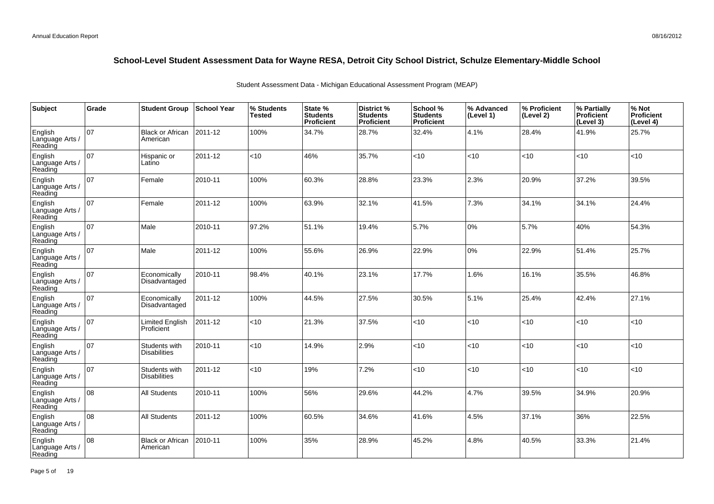| Subject                               | Grade | <b>Student Group</b>                 | School Year | % Students<br><b>Tested</b> | State %<br><b>Students</b><br>Proficient | District %<br><b>Students</b><br><b>Proficient</b> | School %<br><b>Students</b><br><b>Proficient</b> | % Advanced<br>(Level 1) | % Proficient<br>(Level 2) | % Partially<br>Proficient<br>(Level 3) | % Not<br>Proficient<br>(Level 4) |
|---------------------------------------|-------|--------------------------------------|-------------|-----------------------------|------------------------------------------|----------------------------------------------------|--------------------------------------------------|-------------------------|---------------------------|----------------------------------------|----------------------------------|
| English<br>Language Arts /<br>Reading | 07    | <b>Black or African</b><br>American  | 2011-12     | 100%                        | 34.7%                                    | 28.7%                                              | 32.4%                                            | 4.1%                    | 28.4%                     | 41.9%                                  | 25.7%                            |
| English<br>Language Arts /<br>Reading | 07    | Hispanic or<br>Latino                | 2011-12     | <10                         | 46%                                      | 35.7%                                              | <10                                              | <10                     | <10                       | < 10                                   | <10                              |
| English<br>Language Arts /<br>Reading | 07    | Female                               | 2010-11     | 100%                        | 60.3%                                    | 28.8%                                              | 23.3%                                            | 2.3%                    | 20.9%                     | 37.2%                                  | 39.5%                            |
| English<br>Language Arts /<br>Reading | 07    | Female                               | 2011-12     | 100%                        | 63.9%                                    | 32.1%                                              | 41.5%                                            | 7.3%                    | 34.1%                     | 34.1%                                  | 24.4%                            |
| English<br>Language Arts /<br>Reading | 07    | Male                                 | 2010-11     | 97.2%                       | 51.1%                                    | 19.4%                                              | 5.7%                                             | 0%                      | 5.7%                      | 40%                                    | 54.3%                            |
| English<br>Language Arts /<br>Reading | 07    | Male                                 | 2011-12     | 100%                        | 55.6%                                    | 26.9%                                              | 22.9%                                            | 0%                      | 22.9%                     | 51.4%                                  | 25.7%                            |
| English<br>Language Arts /<br>Reading | 07    | Economically<br>Disadvantaged        | 2010-11     | 98.4%                       | 40.1%                                    | 23.1%                                              | 17.7%                                            | 1.6%                    | 16.1%                     | 35.5%                                  | 46.8%                            |
| English<br>Language Arts<br>Reading   | 07    | Economically<br>Disadvantaged        | 2011-12     | 100%                        | 44.5%                                    | 27.5%                                              | 30.5%                                            | 5.1%                    | 25.4%                     | 42.4%                                  | 27.1%                            |
| English<br>Language Arts /<br>Reading | 07    | <b>Limited English</b><br>Proficient | 2011-12     | <10                         | 21.3%                                    | 37.5%                                              | < 10                                             | <10                     | < 10                      | < 10                                   | <10                              |
| English<br>Language Arts<br>Reading   | 07    | Students with<br><b>Disabilities</b> | 2010-11     | <10                         | 14.9%                                    | 2.9%                                               | <10                                              | <10                     | <10                       | < 10                                   | <10                              |
| English<br>Language Arts<br>Reading   | 07    | Students with<br><b>Disabilities</b> | 2011-12     | $<$ 10                      | 19%                                      | 7.2%                                               | < 10                                             | <10                     | <10                       | $ $ < 10                               | <10                              |
| English<br>Language Arts<br>Reading   | 08    | <b>All Students</b>                  | 2010-11     | 100%                        | 56%                                      | 29.6%                                              | 44.2%                                            | 4.7%                    | 39.5%                     | 34.9%                                  | 20.9%                            |
| English<br>Language Arts /<br>Reading | 108   | <b>All Students</b>                  | 2011-12     | 100%                        | 60.5%                                    | 34.6%                                              | 41.6%                                            | 4.5%                    | 37.1%                     | 36%                                    | 22.5%                            |
| English<br>Language Arts<br>Reading   | 08    | <b>Black or African</b><br>American  | 2010-11     | 100%                        | 35%                                      | 28.9%                                              | 45.2%                                            | 4.8%                    | 40.5%                     | 33.3%                                  | 21.4%                            |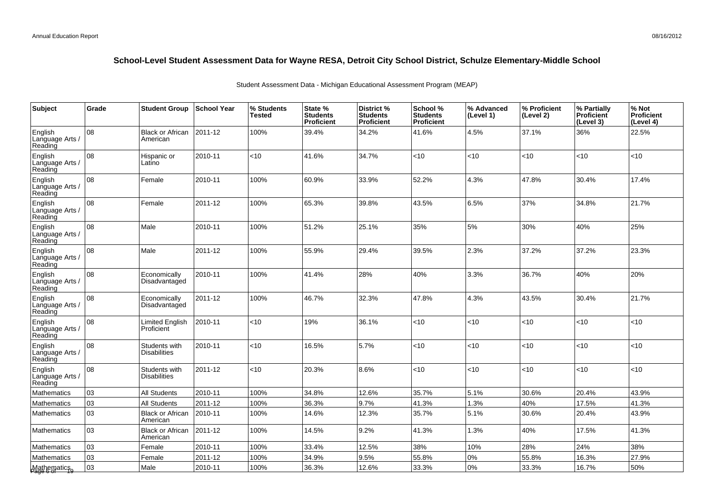| Subject                               | Grade | <b>Student Group</b>                 | <b>School Year</b> | % Students<br>Tested | State %<br><b>Students</b><br>Proficient | District%<br><b>Students</b><br><b>Proficient</b> | School %<br><b>Students</b><br><b>Proficient</b> | % Advanced<br>(Level 1) | % Proficient<br>(Level 2) | % Partially<br><b>Proficient</b><br>(Level 3) | % Not<br>Proficient<br>(Level 4) |
|---------------------------------------|-------|--------------------------------------|--------------------|----------------------|------------------------------------------|---------------------------------------------------|--------------------------------------------------|-------------------------|---------------------------|-----------------------------------------------|----------------------------------|
| English<br>Language Arts<br>Reading   | 08    | <b>Black or African</b><br>American  | 2011-12            | 100%                 | 39.4%                                    | 34.2%                                             | 41.6%                                            | 4.5%                    | 37.1%                     | 36%                                           | 22.5%                            |
| English<br>Language Arts /<br>Reading | 08    | Hispanic or<br>Latino                | 2010-11            | <10                  | 41.6%                                    | 34.7%                                             | <10                                              | < 10                    | <10                       | $<10$                                         | <10                              |
| English<br>Language Arts /<br>Reading | 08    | Female                               | 2010-11            | 100%                 | 60.9%                                    | 33.9%                                             | 52.2%                                            | 4.3%                    | 47.8%                     | 30.4%                                         | 17.4%                            |
| English<br>Language Arts /<br>Reading | lo8   | Female                               | 2011-12            | 100%                 | 65.3%                                    | 39.8%                                             | 43.5%                                            | 6.5%                    | 37%                       | 34.8%                                         | 21.7%                            |
| English<br>Language Arts /<br>Reading | 08    | Male                                 | 2010-11            | 100%                 | 51.2%                                    | 25.1%                                             | 35%                                              | 5%                      | 30%                       | 40%                                           | 25%                              |
| English<br>Language Arts /<br>Reading | 08    | Male                                 | 2011-12            | 100%                 | 55.9%                                    | 29.4%                                             | 39.5%                                            | 2.3%                    | 37.2%                     | 37.2%                                         | 23.3%                            |
| English<br>Language Arts /<br>Reading | 08    | Economically<br>Disadvantaged        | 2010-11            | 100%                 | 41.4%                                    | 28%                                               | 40%                                              | 3.3%                    | 36.7%                     | 40%                                           | 20%                              |
| English<br>Language Arts /<br>Reading | 08    | Economically<br>Disadvantaged        | 2011-12            | 100%                 | 46.7%                                    | 32.3%                                             | 47.8%                                            | 4.3%                    | 43.5%                     | 30.4%                                         | 21.7%                            |
| English<br>Language Arts /<br>Reading | 08    | Limited English<br>Proficient        | 2010-11            | <10                  | 19%                                      | 36.1%                                             | <10                                              | < 10                    | <10                       | <10                                           | <10                              |
| English<br>Language Arts /<br>Reading | 08    | Students with<br><b>Disabilities</b> | 2010-11            | <10                  | 16.5%                                    | 5.7%                                              | <10                                              | < 10                    | <10                       | <10                                           | <10                              |
| English<br>Language Arts /<br>Reading | 08    | Students with<br><b>Disabilities</b> | 2011-12            | <10                  | 20.3%                                    | 8.6%                                              | <10                                              | < 10                    | <10                       | < 10                                          | < 10                             |
| Mathematics                           | 03    | <b>All Students</b>                  | 2010-11            | 100%                 | 34.8%                                    | 12.6%                                             | 35.7%                                            | 5.1%                    | 30.6%                     | 20.4%                                         | 43.9%                            |
| Mathematics                           | 03    | <b>All Students</b>                  | 2011-12            | 100%                 | 36.3%                                    | 9.7%                                              | 41.3%                                            | 1.3%                    | 40%                       | 17.5%                                         | 41.3%                            |
| Mathematics                           | 03    | <b>Black or African</b><br>American  | 2010-11            | 100%                 | 14.6%                                    | 12.3%                                             | 35.7%                                            | 5.1%                    | 30.6%                     | 20.4%                                         | 43.9%                            |
| Mathematics                           | 03    | <b>Black or African</b><br>American  | 2011-12            | 100%                 | 14.5%                                    | 9.2%                                              | 41.3%                                            | 1.3%                    | 40%                       | 17.5%                                         | 41.3%                            |
| Mathematics                           | 03    | Female                               | 2010-11            | 100%                 | 33.4%                                    | 12.5%                                             | 38%                                              | 10%                     | 28%                       | 24%                                           | 38%                              |
| Mathematics                           | 03    | Female                               | 2011-12            | 100%                 | 34.9%                                    | 9.5%                                              | 55.8%                                            | 0%                      | 55.8%                     | 16.3%                                         | 27.9%                            |
| Mathematics<br>Page 6 of              | 03    | Male                                 | 2010-11            | 100%                 | 36.3%                                    | 12.6%                                             | 33.3%                                            | 0%                      | 33.3%                     | 16.7%                                         | 50%                              |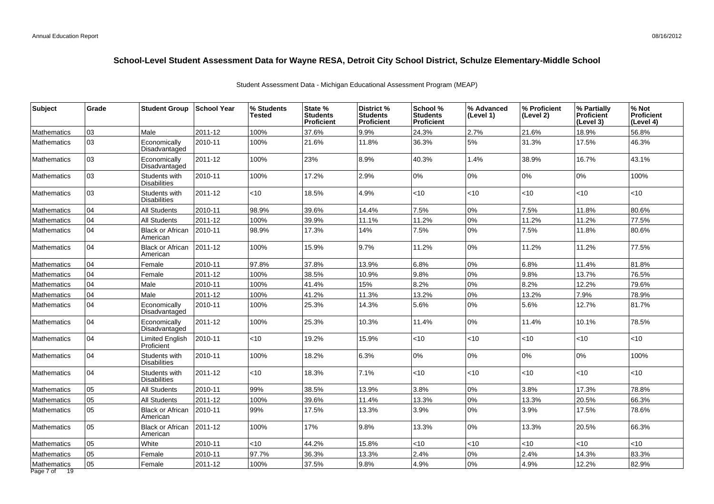| <b>Subject</b>                 | Grade | <b>Student Group</b>                 | <b>School Year</b> | % Students<br>Tested | State %<br><b>Students</b><br><b>Proficient</b> | District %<br><b>Students</b><br><b>Proficient</b> | School %<br><b>Students</b><br><b>Proficient</b> | % Advanced<br>(Level 1) | % Proficient<br>(Level 2) | % Partially<br><b>Proficient</b><br>(Level 3) | % Not<br>Proficient<br>(Level 4) |
|--------------------------------|-------|--------------------------------------|--------------------|----------------------|-------------------------------------------------|----------------------------------------------------|--------------------------------------------------|-------------------------|---------------------------|-----------------------------------------------|----------------------------------|
| <b>Mathematics</b>             | 03    | Male                                 | 2011-12            | 100%                 | 37.6%                                           | 9.9%                                               | 24.3%                                            | 2.7%                    | 21.6%                     | 18.9%                                         | 56.8%                            |
| <b>Mathematics</b>             | 03    | Economically<br>Disadvantaged        | 2010-11            | 100%                 | 21.6%                                           | 11.8%                                              | 36.3%                                            | 5%                      | 31.3%                     | 17.5%                                         | 46.3%                            |
| Mathematics                    | 03    | Economically<br>Disadvantaged        | 2011-12            | 100%                 | 23%                                             | 8.9%                                               | 40.3%                                            | 1.4%                    | 38.9%                     | 16.7%                                         | 43.1%                            |
| <b>Mathematics</b>             | 03    | Students with<br><b>Disabilities</b> | 2010-11            | 100%                 | 17.2%                                           | 2.9%                                               | $0\%$                                            | $0\%$                   | 0%                        | 0%                                            | 100%                             |
| <b>Mathematics</b>             | 03    | Students with<br><b>Disabilities</b> | 2011-12            | <10                  | 18.5%                                           | 4.9%                                               | $<$ 10                                           | < 10                    | < 10                      | <10                                           | <10                              |
| Mathematics                    | 04    | <b>All Students</b>                  | 2010-11            | 98.9%                | 39.6%                                           | 14.4%                                              | 7.5%                                             | $0\%$                   | 7.5%                      | 11.8%                                         | 80.6%                            |
| Mathematics                    | 04    | <b>All Students</b>                  | 2011-12            | 100%                 | 39.9%                                           | 11.1%                                              | 11.2%                                            | 0%                      | 11.2%                     | 11.2%                                         | 77.5%                            |
| Mathematics                    | 04    | <b>Black or African</b><br>American  | 2010-11            | 98.9%                | 17.3%                                           | 14%                                                | 7.5%                                             | 0%                      | 7.5%                      | 11.8%                                         | 80.6%                            |
| Mathematics                    | 04    | <b>Black or African</b><br>American  | 2011-12            | 100%                 | 15.9%                                           | 9.7%                                               | 11.2%                                            | 0%                      | 11.2%                     | 11.2%                                         | 77.5%                            |
| <b>Mathematics</b>             | 04    | Female                               | 2010-11            | 97.8%                | 37.8%                                           | 13.9%                                              | 6.8%                                             | 0%                      | 6.8%                      | 11.4%                                         | 81.8%                            |
| Mathematics                    | 04    | Female                               | 2011-12            | 100%                 | 38.5%                                           | 10.9%                                              | 9.8%                                             | 0%                      | 9.8%                      | 13.7%                                         | 76.5%                            |
| Mathematics                    | 04    | Male                                 | 2010-11            | 100%                 | 41.4%                                           | 15%                                                | 8.2%                                             | 0%                      | 8.2%                      | 12.2%                                         | 79.6%                            |
| <b>Mathematics</b>             | 04    | Male                                 | 2011-12            | 100%                 | 41.2%                                           | 11.3%                                              | 13.2%                                            | $0\%$                   | 13.2%                     | 7.9%                                          | 78.9%                            |
| Mathematics                    | 04    | Economically<br>Disadvantaged        | 2010-11            | 100%                 | 25.3%                                           | 14.3%                                              | 5.6%                                             | $0\%$                   | 5.6%                      | 12.7%                                         | 81.7%                            |
| <b>Mathematics</b>             | 04    | Economically<br>Disadvantaged        | 2011-12            | 100%                 | 25.3%                                           | 10.3%                                              | 11.4%                                            | 0%                      | 11.4%                     | 10.1%                                         | 78.5%                            |
| Mathematics                    | 104   | <b>Limited English</b><br>Proficient | 2010-11            | $<$ 10               | 19.2%                                           | 15.9%                                              | $<$ 10                                           | < 10                    | < 10                      | <10                                           | <10                              |
| <b>Mathematics</b>             | 104   | Students with<br><b>Disabilities</b> | 2010-11            | 100%                 | 18.2%                                           | 6.3%                                               | 0%                                               | 0%                      | 0%                        | 0%                                            | 100%                             |
| Mathematics                    | 04    | Students with<br><b>Disabilities</b> | 2011-12            | $<$ 10               | 18.3%                                           | 7.1%                                               | $<$ 10                                           | <10                     | $<$ 10                    | <10                                           | <10                              |
| <b>Mathematics</b>             | 05    | All Students                         | 2010-11            | 99%                  | 38.5%                                           | 13.9%                                              | 3.8%                                             | 0%                      | 3.8%                      | 17.3%                                         | 78.8%                            |
| Mathematics                    | 05    | All Students                         | 2011-12            | 100%                 | 39.6%                                           | 11.4%                                              | 13.3%                                            | $0\%$                   | 13.3%                     | 20.5%                                         | 66.3%                            |
| Mathematics                    | 05    | <b>Black or African</b><br>American  | 2010-11            | 99%                  | 17.5%                                           | 13.3%                                              | 3.9%                                             | 0%                      | 3.9%                      | 17.5%                                         | 78.6%                            |
| Mathematics                    | 05    | <b>Black or African</b><br>American  | 2011-12            | 100%                 | 17%                                             | 9.8%                                               | 13.3%                                            | 0%                      | 13.3%                     | 20.5%                                         | 66.3%                            |
| Mathematics                    | 05    | White                                | 2010-11            | <10                  | 44.2%                                           | 15.8%                                              | <10                                              | < 10                    | $<10$                     | <10                                           | <10                              |
| Mathematics                    | 05    | Female                               | 2010-11            | 97.7%                | 36.3%                                           | 13.3%                                              | 2.4%                                             | 0%                      | 2.4%                      | 14.3%                                         | 83.3%                            |
| Mathematics<br>Page 7 of<br>19 | 05    | Female                               | 2011-12            | 100%                 | 37.5%                                           | 9.8%                                               | 4.9%                                             | 0%                      | 4.9%                      | 12.2%                                         | 82.9%                            |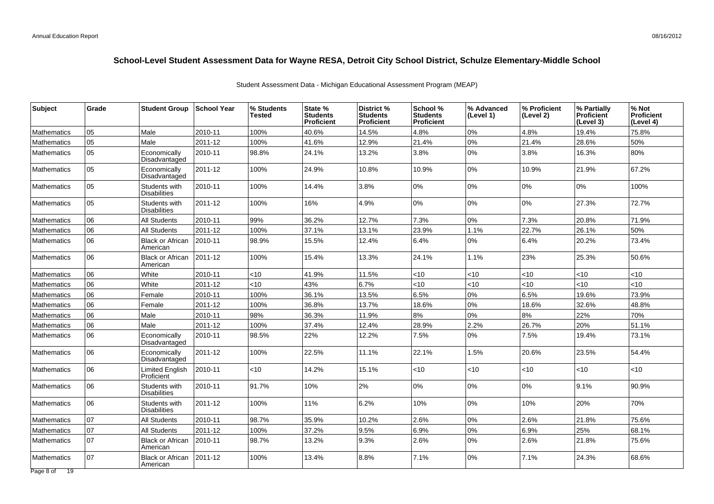| <b>Subject</b>     | Grade | <b>Student Group</b>                 | <b>School Year</b> | % Students<br><b>Tested</b> | State %<br><b>Students</b><br>Proficient | District %<br><b>Students</b><br><b>Proficient</b> | School %<br><b>Students</b><br><b>Proficient</b> | % Advanced<br>(Level 1) | % Proficient<br>(Level 2) | % Partially<br><b>Proficient</b><br>(Level 3) | % Not<br>Proficient<br>(Level 4) |
|--------------------|-------|--------------------------------------|--------------------|-----------------------------|------------------------------------------|----------------------------------------------------|--------------------------------------------------|-------------------------|---------------------------|-----------------------------------------------|----------------------------------|
| <b>Mathematics</b> | 05    | Male                                 | 2010-11            | 100%                        | 40.6%                                    | 14.5%                                              | 4.8%                                             | $0\%$                   | 4.8%                      | 19.4%                                         | 75.8%                            |
| <b>Mathematics</b> | 05    | Male                                 | 2011-12            | 100%                        | 41.6%                                    | 12.9%                                              | 21.4%                                            | 0%                      | 21.4%                     | 28.6%                                         | 50%                              |
| <b>Mathematics</b> | 05    | Economically<br>Disadvantaged        | 2010-11            | 98.8%                       | 24.1%                                    | 13.2%                                              | 3.8%                                             | $0\%$                   | 3.8%                      | 16.3%                                         | 80%                              |
| <b>Mathematics</b> | 05    | Economically<br>Disadvantaged        | 2011-12            | 100%                        | 24.9%                                    | 10.8%                                              | 10.9%                                            | 0%                      | 10.9%                     | 21.9%                                         | 67.2%                            |
| <b>Mathematics</b> | 05    | Students with<br><b>Disabilities</b> | 2010-11            | 100%                        | 14.4%                                    | 3.8%                                               | 0%                                               | 0%                      | 0%                        | 0%                                            | 100%                             |
| <b>Mathematics</b> | 05    | Students with<br>Disabilities        | 2011-12            | 100%                        | 16%                                      | 4.9%                                               | 0%                                               | 0%                      | 0%                        | 27.3%                                         | 72.7%                            |
| Mathematics        | 06    | <b>All Students</b>                  | 2010-11            | 99%                         | 36.2%                                    | 12.7%                                              | 7.3%                                             | 0%                      | 7.3%                      | 20.8%                                         | 71.9%                            |
| Mathematics        | 06    | <b>All Students</b>                  | 2011-12            | 100%                        | 37.1%                                    | 13.1%                                              | 23.9%                                            | 1.1%                    | 22.7%                     | 26.1%                                         | 50%                              |
| Mathematics        | l 06  | <b>Black or African</b><br>American  | 2010-11            | 98.9%                       | 15.5%                                    | 12.4%                                              | 6.4%                                             | 0%                      | 6.4%                      | 20.2%                                         | 73.4%                            |
| <b>Mathematics</b> | 06    | <b>Black or African</b><br>American  | 2011-12            | 100%                        | 15.4%                                    | 13.3%                                              | 24.1%                                            | 1.1%                    | 23%                       | 25.3%                                         | 50.6%                            |
| Mathematics        | 06    | White                                | 2010-11            | <10                         | 41.9%                                    | 11.5%                                              | $<$ 10                                           | < 10                    | <10                       | <10                                           | <10                              |
| <b>Mathematics</b> | 06    | White                                | 2011-12            | $<10$                       | 43%                                      | 6.7%                                               | <10                                              | < 10                    | <10                       | <10                                           | <10                              |
| <b>Mathematics</b> | 06    | Female                               | 2010-11            | 100%                        | 36.1%                                    | 13.5%                                              | 6.5%                                             | 0%                      | 6.5%                      | 19.6%                                         | 73.9%                            |
| Mathematics        | 06    | Female                               | 2011-12            | 100%                        | 36.8%                                    | 13.7%                                              | 18.6%                                            | 0%                      | 18.6%                     | 32.6%                                         | 48.8%                            |
| Mathematics        | 06    | Male                                 | 2010-11            | 98%                         | 36.3%                                    | 11.9%                                              | 8%                                               | 0%                      | 8%                        | 22%                                           | 70%                              |
| Mathematics        | 06    | Male                                 | 2011-12            | 100%                        | 37.4%                                    | 12.4%                                              | 28.9%                                            | 2.2%                    | 26.7%                     | 20%                                           | 51.1%                            |
| Mathematics        | 06    | Economically<br>Disadvantaged        | 2010-11            | 98.5%                       | 22%                                      | 12.2%                                              | 7.5%                                             | 0%                      | 7.5%                      | 19.4%                                         | 73.1%                            |
| <b>Mathematics</b> | 06    | Economically<br>Disadvantaged        | 2011-12            | 100%                        | 22.5%                                    | 11.1%                                              | 22.1%                                            | 1.5%                    | 20.6%                     | 23.5%                                         | 54.4%                            |
| <b>Mathematics</b> | 06    | <b>Limited English</b><br>Proficient | 2010-11            | $<$ 10                      | 14.2%                                    | 15.1%                                              | $<$ 10                                           | < 10                    | <10                       | < 10                                          | <10                              |
| <b>Mathematics</b> | 06    | Students with<br><b>Disabilities</b> | 2010-11            | 91.7%                       | 10%                                      | 2%                                                 | 0%                                               | $0\%$                   | 0%                        | 9.1%                                          | 90.9%                            |
| <b>Mathematics</b> | 06    | Students with<br><b>Disabilities</b> | 2011-12            | 100%                        | 11%                                      | 6.2%                                               | 10%                                              | 0%                      | 10%                       | 20%                                           | 70%                              |
| Mathematics        | 07    | <b>All Students</b>                  | 2010-11            | 98.7%                       | 35.9%                                    | 10.2%                                              | 2.6%                                             | $0\%$                   | 2.6%                      | 21.8%                                         | 75.6%                            |
| Mathematics        | 07    | All Students                         | 2011-12            | 100%                        | 37.2%                                    | 9.5%                                               | 6.9%                                             | $0\%$                   | 6.9%                      | 25%                                           | 68.1%                            |
| <b>Mathematics</b> | 07    | <b>Black or African</b><br>American  | 2010-11            | 98.7%                       | 13.2%                                    | 9.3%                                               | 2.6%                                             | 0%                      | 2.6%                      | 21.8%                                         | 75.6%                            |
| <b>Mathematics</b> | 107   | <b>Black or African</b><br>American  | 2011-12            | 100%                        | 13.4%                                    | 8.8%                                               | 7.1%                                             | $0\%$                   | 7.1%                      | 24.3%                                         | 68.6%                            |
| Page 8 of 19       |       |                                      |                    |                             |                                          |                                                    |                                                  |                         |                           |                                               |                                  |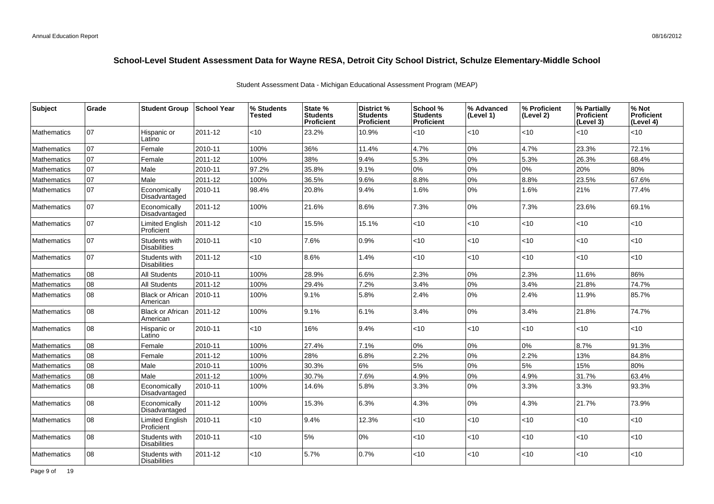| <b>Subject</b>     | Grade | <b>Student Group</b>                 | ∣School Year | % Students<br><b>Tested</b> | State %<br><b>Students</b><br><b>Proficient</b> | District %<br><b>Students</b><br>Proficient | School %<br><b>Students</b><br><b>Proficient</b> | % Advanced<br>(Level 1) | % Proficient<br>(Level 2) | % Partially<br>Proficient<br>(Level 3) | % Not<br>Proficient<br>(Level 4) |
|--------------------|-------|--------------------------------------|--------------|-----------------------------|-------------------------------------------------|---------------------------------------------|--------------------------------------------------|-------------------------|---------------------------|----------------------------------------|----------------------------------|
| <b>Mathematics</b> | 07    | Hispanic or<br>Latino                | 2011-12      | $<$ 10                      | 23.2%                                           | 10.9%                                       | $<$ 10                                           | $<$ 10                  | $<$ 10                    | <10                                    | <10                              |
| Mathematics        | 07    | Female                               | 2010-11      | 100%                        | 36%                                             | 11.4%                                       | 4.7%                                             | 0%                      | 4.7%                      | 23.3%                                  | 72.1%                            |
| Mathematics        | 07    | Female                               | 2011-12      | 100%                        | 38%                                             | 9.4%                                        | 5.3%                                             | 0%                      | 5.3%                      | 26.3%                                  | 68.4%                            |
| <b>Mathematics</b> | 07    | Male                                 | 2010-11      | 97.2%                       | 35.8%                                           | 9.1%                                        | $0\%$                                            | 0%                      | 0%                        | 20%                                    | 80%                              |
| <b>Mathematics</b> | 07    | Male                                 | 2011-12      | 100%                        | 36.5%                                           | 9.6%                                        | 8.8%                                             | 0%                      | 8.8%                      | 23.5%                                  | 67.6%                            |
| <b>Mathematics</b> | 07    | Economically<br>Disadvantaged        | 2010-11      | 98.4%                       | 20.8%                                           | 9.4%                                        | 1.6%                                             | 0%                      | 1.6%                      | 21%                                    | 77.4%                            |
| <b>Mathematics</b> | 107   | Economically<br>Disadvantaged        | 2011-12      | 100%                        | 21.6%                                           | 8.6%                                        | 7.3%                                             | 0%                      | 7.3%                      | 23.6%                                  | 69.1%                            |
| <b>Mathematics</b> | 107   | Limited English<br>Proficient        | 2011-12      | <10                         | 15.5%                                           | 15.1%                                       | < 10                                             | <10                     | < 10                      | $<$ 10                                 | <10                              |
| <b>Mathematics</b> | 07    | Students with<br><b>Disabilities</b> | 2010-11      | <10                         | 7.6%                                            | 0.9%                                        | $<$ 10                                           | <10                     | $<10$                     | <10                                    | <10                              |
| <b>Mathematics</b> | 07    | Students with<br><b>Disabilities</b> | 2011-12      | <10                         | 8.6%                                            | 1.4%                                        | <10                                              | <10                     | <10                       | <10                                    | <10                              |
| <b>Mathematics</b> | 08    | <b>All Students</b>                  | 2010-11      | 100%                        | 28.9%                                           | 6.6%                                        | 2.3%                                             | 0%                      | 2.3%                      | 11.6%                                  | 86%                              |
| Mathematics        | 80    | <b>All Students</b>                  | 2011-12      | 100%                        | 29.4%                                           | 7.2%                                        | 3.4%                                             | 0%                      | 3.4%                      | 21.8%                                  | 74.7%                            |
| <b>Mathematics</b> | 08    | <b>Black or African</b><br>American  | 2010-11      | 100%                        | 9.1%                                            | 5.8%                                        | 2.4%                                             | 0%                      | 2.4%                      | 11.9%                                  | 85.7%                            |
| <b>Mathematics</b> | 08    | <b>Black or African</b><br>American  | 2011-12      | 100%                        | 9.1%                                            | 6.1%                                        | 3.4%                                             | 0%                      | 3.4%                      | 21.8%                                  | 74.7%                            |
| <b>Mathematics</b> | 08    | Hispanic or<br>Latino                | 2010-11      | <10                         | 16%                                             | 9.4%                                        | $<$ 10                                           | <10                     | < 10                      | <10                                    | <10                              |
| Mathematics        | 08    | Female                               | 2010-11      | 100%                        | 27.4%                                           | 7.1%                                        | 0%                                               | 0%                      | 0%                        | 8.7%                                   | 91.3%                            |
| Mathematics        | 08    | Female                               | 2011-12      | 100%                        | 28%                                             | 6.8%                                        | 2.2%                                             | 0%                      | 2.2%                      | 13%                                    | 84.8%                            |
| Mathematics        | 08    | Male                                 | 2010-11      | 100%                        | 30.3%                                           | 6%                                          | 5%                                               | 0%                      | 5%                        | 15%                                    | 80%                              |
| <b>Mathematics</b> | 08    | Male                                 | 2011-12      | 100%                        | 30.7%                                           | 7.6%                                        | 4.9%                                             | 0%                      | 4.9%                      | 31.7%                                  | 63.4%                            |
| <b>Mathematics</b> | 08    | Economically<br>Disadvantaged        | 2010-11      | 100%                        | 14.6%                                           | 5.8%                                        | 3.3%                                             | 0%                      | 3.3%                      | 3.3%                                   | 93.3%                            |
| <b>Mathematics</b> | lo8   | Economically<br>Disadvantaged        | 2011-12      | 100%                        | 15.3%                                           | 6.3%                                        | 4.3%                                             | 0%                      | 4.3%                      | 21.7%                                  | 73.9%                            |
| <b>Mathematics</b> | 08    | Limited English<br>Proficient        | 2010-11      | $<$ 10                      | 9.4%                                            | 12.3%                                       | $<$ 10                                           | <10                     | < 10                      | <10                                    | <10                              |
| <b>Mathematics</b> | 08    | Students with<br><b>Disabilities</b> | 2010-11      | <10                         | 5%                                              | $0\%$                                       | $<$ 10                                           | <10                     | < 10                      | <10                                    | <10                              |
| <b>Mathematics</b> | 08    | Students with<br><b>Disabilities</b> | 2011-12      | <10                         | 5.7%                                            | 0.7%                                        | $<$ 10                                           | <10                     | <10                       | $<$ 10                                 | <10                              |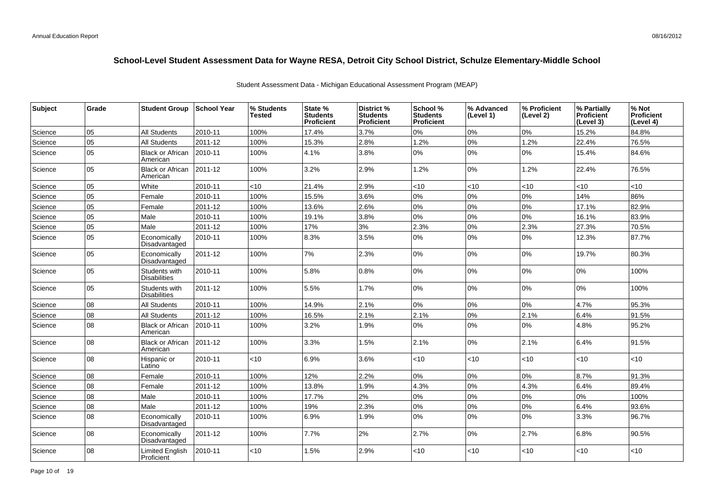| Subject | Grade | <b>Student Group</b>                 | <b>School Year</b> | % Students<br>Tested | State %<br><b>Students</b><br>Proficient | District %<br><b>Students</b><br>Proficient | School %<br><b>Students</b><br><b>Proficient</b> | % Advanced<br>(Level 1) | % Proficient<br>(Level 2) | % Partially<br><b>Proficient</b><br>(Level 3) | % Not<br><b>Proficient</b><br>(Level 4) |
|---------|-------|--------------------------------------|--------------------|----------------------|------------------------------------------|---------------------------------------------|--------------------------------------------------|-------------------------|---------------------------|-----------------------------------------------|-----------------------------------------|
| Science | 05    | <b>All Students</b>                  | 2010-11            | 100%                 | 17.4%                                    | 3.7%                                        | 0%                                               | 0%                      | 0%                        | 15.2%                                         | 84.8%                                   |
| Science | 05    | <b>All Students</b>                  | 2011-12            | 100%                 | 15.3%                                    | 2.8%                                        | 1.2%                                             | 0%                      | 1.2%                      | 22.4%                                         | 76.5%                                   |
| Science | 05    | <b>Black or African</b><br>American  | 2010-11            | 100%                 | 4.1%                                     | 3.8%                                        | 0%                                               | 0%                      | 0%                        | 15.4%                                         | 84.6%                                   |
| Science | 05    | <b>Black or African</b><br>American  | 2011-12            | 100%                 | 3.2%                                     | 2.9%                                        | 1.2%                                             | $0\%$                   | 1.2%                      | 22.4%                                         | 76.5%                                   |
| Science | 05    | White                                | 2010-11            | $<$ 10               | 21.4%                                    | 2.9%                                        | $<$ 10                                           | < 10                    | <10                       | <10                                           | <10                                     |
| Science | 05    | Female                               | 2010-11            | 100%                 | 15.5%                                    | 3.6%                                        | 0%                                               | 0%                      | 0%                        | 14%                                           | 86%                                     |
| Science | 05    | Female                               | 2011-12            | 100%                 | 13.6%                                    | 2.6%                                        | 0%                                               | 0%                      | 0%                        | 17.1%                                         | 82.9%                                   |
| Science | 05    | Male                                 | 2010-11            | 100%                 | 19.1%                                    | 3.8%                                        | 0%                                               | 0%                      | 0%                        | 16.1%                                         | 83.9%                                   |
| Science | 05    | Male                                 | 2011-12            | 100%                 | 17%                                      | 3%                                          | 2.3%                                             | 0%                      | 2.3%                      | 27.3%                                         | 70.5%                                   |
| Science | 05    | Economically<br>Disadvantaged        | 2010-11            | 100%                 | 8.3%                                     | 3.5%                                        | 0%                                               | $0\%$                   | 0%                        | 12.3%                                         | 87.7%                                   |
| Science | 05    | Economically<br>Disadvantaged        | 2011-12            | 100%                 | 7%                                       | 2.3%                                        | 0%                                               | $0\%$                   | 0%                        | 19.7%                                         | 80.3%                                   |
| Science | 05    | Students with<br><b>Disabilities</b> | 2010-11            | 100%                 | 5.8%                                     | 0.8%                                        | 0%                                               | $0\%$                   | 0%                        | 0%                                            | 100%                                    |
| Science | 05    | Students with<br><b>Disabilities</b> | 2011-12            | 100%                 | 5.5%                                     | 1.7%                                        | 0%                                               | 0%                      | 0%                        | 0%                                            | 100%                                    |
| Science | 08    | <b>All Students</b>                  | 2010-11            | 100%                 | 14.9%                                    | 2.1%                                        | 0%                                               | $0\%$                   | 0%                        | 4.7%                                          | 95.3%                                   |
| Science | 08    | <b>All Students</b>                  | 2011-12            | 100%                 | 16.5%                                    | 2.1%                                        | 2.1%                                             | $0\%$                   | 2.1%                      | 6.4%                                          | 91.5%                                   |
| Science | 08    | <b>Black or African</b><br>American  | 2010-11            | 100%                 | 3.2%                                     | 1.9%                                        | 0%                                               | $0\%$                   | 0%                        | 4.8%                                          | 95.2%                                   |
| Science | 08    | <b>Black or African</b><br>American  | 2011-12            | 100%                 | 3.3%                                     | 1.5%                                        | 2.1%                                             | 0%                      | 2.1%                      | 6.4%                                          | 91.5%                                   |
| Science | 08    | Hispanic or<br>Latino                | 2010-11            | <10                  | 6.9%                                     | 3.6%                                        | $<$ 10                                           | < 10                    | <10                       | < 10                                          | $<$ 10                                  |
| Science | 08    | Female                               | 2010-11            | 100%                 | 12%                                      | 2.2%                                        | 0%                                               | 0%                      | $0\%$                     | 8.7%                                          | 91.3%                                   |
| Science | 08    | Female                               | 2011-12            | 100%                 | 13.8%                                    | 1.9%                                        | 4.3%                                             | $0\%$                   | 4.3%                      | 6.4%                                          | 89.4%                                   |
| Science | 08    | Male                                 | 2010-11            | 100%                 | 17.7%                                    | 2%                                          | 0%                                               | 0%                      | 0%                        | 0%                                            | 100%                                    |
| Science | 08    | Male                                 | 2011-12            | 100%                 | 19%                                      | 2.3%                                        | 0%                                               | $0\%$                   | 0%                        | 6.4%                                          | 93.6%                                   |
| Science | 08    | Economically<br>Disadvantaged        | 2010-11            | 100%                 | 6.9%                                     | 1.9%                                        | 0%                                               | $0\%$                   | 0%                        | 3.3%                                          | 96.7%                                   |
| Science | 08    | Economically<br>Disadvantaged        | 2011-12            | 100%                 | 7.7%                                     | 2%                                          | 2.7%                                             | $0\%$                   | 2.7%                      | 6.8%                                          | 90.5%                                   |
| Science | 08    | Limited English<br>Proficient        | 2010-11            | <10                  | 1.5%                                     | 2.9%                                        | $<$ 10                                           | <10                     | $<$ 10                    | < 10                                          | <10                                     |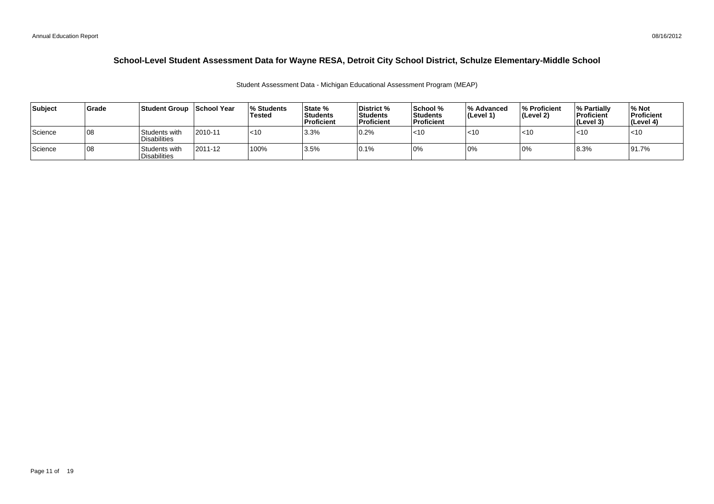| Subject   | <b>Grade</b> | Student Group School Year            |         | <b>Students</b><br>Tested | <b>State %</b><br><b>Students</b><br> Proficient | District %<br><b>Students</b><br><b>Proficient</b> | School %<br><b>Students</b><br>Proficient | % Advanced<br>$ $ (Level 1) | % Proficient<br>l (Level 2) | <b>1% Partially</b><br><b>Proficient</b><br>(Level 3) | % Not<br>Proficient<br>∣(Level 4) |
|-----------|--------------|--------------------------------------|---------|---------------------------|--------------------------------------------------|----------------------------------------------------|-------------------------------------------|-----------------------------|-----------------------------|-------------------------------------------------------|-----------------------------------|
| l Science | 108          | Students with<br><b>Disabilities</b> | 2010-11 | $ $ < 10                  | 3.3%                                             | 0.2%                                               | $<$ 10                                    | $<$ 10                      | $<$ 10                      | $<$ 10                                                | $\mathsf{I}$ <10                  |
| Science   | 108          | Students with<br><b>Disabilities</b> | 2011-12 | 100%                      | 13.5%                                            | 0.1%                                               | 0%                                        | 10%                         | 0%                          | 8.3%                                                  | 91.7%                             |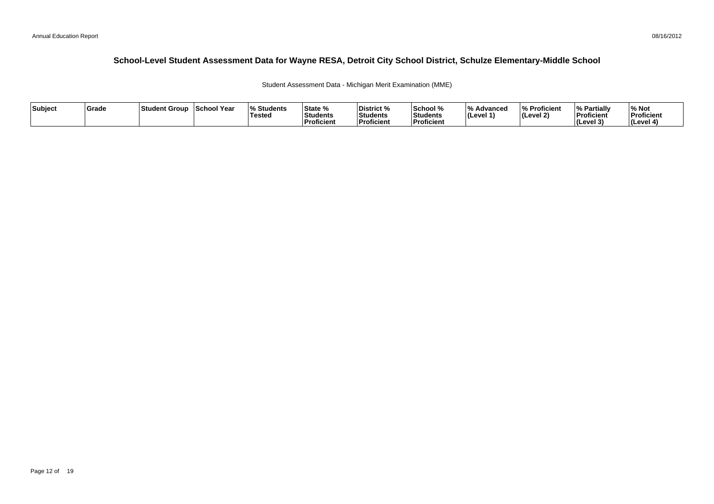Student Assessment Data - Michigan Merit Examination (MME)

| Subject | <b>Grade</b> | <b>Student Group</b> | School Year | <b>Students</b> l%<br>Tested | State %<br>l.<br>l Students<br>Proficient | District %<br>Students<br>Proficient | School %<br>Students<br>∣Proficient | Advanced<br>$ $ (Level 1) | Proficient<br>(Level 2) | <b>Partially</b><br>'%<br>Proficient<br>(Level 3) | % Not<br>Proficient<br>l (Level 4) |
|---------|--------------|----------------------|-------------|------------------------------|-------------------------------------------|--------------------------------------|-------------------------------------|---------------------------|-------------------------|---------------------------------------------------|------------------------------------|
|---------|--------------|----------------------|-------------|------------------------------|-------------------------------------------|--------------------------------------|-------------------------------------|---------------------------|-------------------------|---------------------------------------------------|------------------------------------|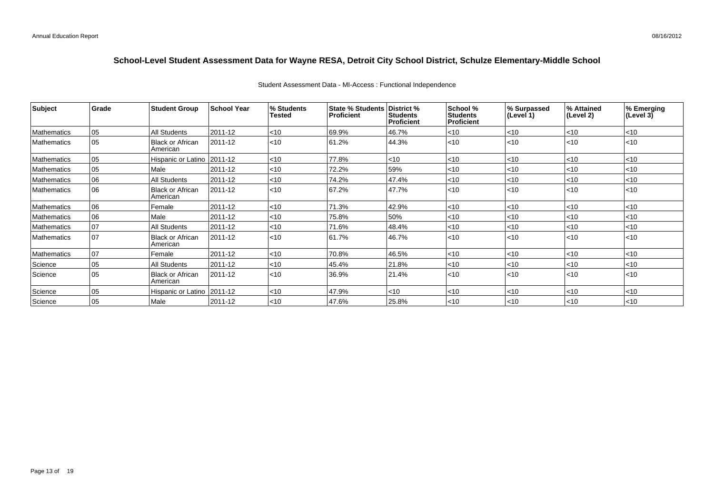| <b>Subject</b>     | Grade | <b>Student Group</b>                | <b>School Year</b> | % Students<br>Tested | State % Students   District %<br>Proficient | <b>Students</b><br><b>Proficient</b> | School %<br><b>Students</b><br><b>Proficient</b> | % Surpassed<br>(Level 1) | % Attained<br>(Level 2) | % Emerging<br>(Level 3) |
|--------------------|-------|-------------------------------------|--------------------|----------------------|---------------------------------------------|--------------------------------------|--------------------------------------------------|--------------------------|-------------------------|-------------------------|
| <b>Mathematics</b> | 05    | All Students                        | 2011-12            | < 10                 | 69.9%                                       | 46.7%                                | < 10                                             | $<$ 10                   | $<$ 10                  | < 10                    |
| <b>Mathematics</b> | 05    | <b>Black or African</b><br>American | 2011-12            | < 10                 | 61.2%                                       | 44.3%                                | < 10                                             | $ $ < 10                 | < 10                    | $ $ < 10                |
| Mathematics        | 05    | Hispanic or Latino                  | 2011-12            | < 10                 | 77.8%                                       | <10                                  | $<$ 10                                           | < 10                     | $<$ 10                  | $ $ < 10                |
| <b>Mathematics</b> | 05    | Male                                | 2011-12            | <10                  | 72.2%                                       | 59%                                  | $<$ 10                                           | $ $ < 10                 | < 10                    | $ $ < 10                |
| <b>Mathematics</b> | 06    | <b>All Students</b>                 | 2011-12            | < 10                 | 74.2%                                       | 47.4%                                | <10                                              | <10                      | $<$ 10                  | $<$ 10                  |
| <b>Mathematics</b> | 106   | <b>Black or African</b><br>American | 2011-12            | < 10                 | 67.2%                                       | 47.7%                                | < 10                                             | $ $ < 10                 | $ $ < 10                | $ $ < 10                |
| <b>Mathematics</b> | 06    | Female                              | 2011-12            | < 10                 | 71.3%                                       | 42.9%                                | $<$ 10                                           | $ $ < 10                 | $<$ 10                  | $<$ 10                  |
| Mathematics        | 06    | Male                                | 2011-12            | < 10                 | 75.8%                                       | 50%                                  | $<$ 10                                           | $ $ < 10                 | < 10                    | $ $ < 10                |
| <b>Mathematics</b> | 07    | All Students                        | 2011-12            | < 10                 | 71.6%                                       | 48.4%                                | $<$ 10                                           | $ $ < 10                 | < 10                    | $ $ < 10                |
| <b>Mathematics</b> | 107   | <b>Black or African</b><br>American | 2011-12            | < 10                 | 61.7%                                       | 46.7%                                | $<$ 10                                           | $ $ < 10                 | < 10                    | $ $ < 10                |
| Mathematics        | 07    | Female                              | 2011-12            | $<$ 10               | 70.8%                                       | 46.5%                                | < 10                                             | < 10                     | $<$ 10                  | $<$ 10                  |
| Science            | 05    | All Students                        | 2011-12            | < 10                 | 45.4%                                       | 21.8%                                | < 10                                             | < 10                     | < 10                    | $ $ < 10                |
| Science            | 05    | <b>Black or African</b><br>American | 2011-12            | < 10                 | 36.9%                                       | 21.4%                                | $<$ 10                                           | $ $ < 10                 | < 10                    | $ $ < 10                |
| Science            | 05    | Hispanic or Latino   2011-12        |                    | $<$ 10               | 47.9%                                       | $<$ 10                               | $<$ 10                                           | $ $ < 10                 | $<$ 10                  | $ $ < 10                |
| Science            | 05    | Male                                | 2011-12            | $<$ 10               | 47.6%                                       | 25.8%                                | l<10                                             | $\mathsf{I}$ <10         | $ $ < 10                | $ $ < 10                |

### Student Assessment Data - MI-Access : Functional Independence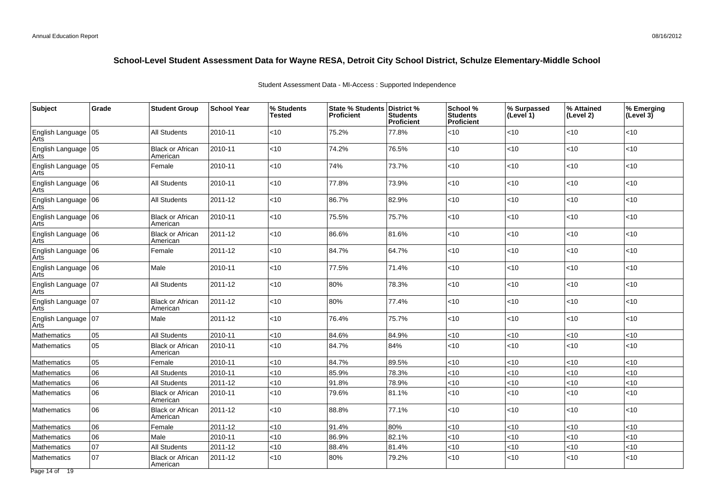| <b>Subject</b>                | Grade | <b>Student Group</b>                | <b>School Year</b> | % Students<br><b>Tested</b> | State % Students   District %<br><b>Proficient</b> | <b>Students</b><br><b>Proficient</b> | School %<br><b>Students</b><br>Proficient | % Surpassed<br>(Level 1) | % Attained<br>(Level 2) | % Emerging<br>$ $ (Level 3) |
|-------------------------------|-------|-------------------------------------|--------------------|-----------------------------|----------------------------------------------------|--------------------------------------|-------------------------------------------|--------------------------|-------------------------|-----------------------------|
| English Language 05<br>Arts   |       | <b>All Students</b>                 | 2010-11            | <10                         | 75.2%                                              | 77.8%                                | <10                                       | < 10                     | <10                     | $<$ 10                      |
| English Language 05<br>Arts   |       | <b>Black or African</b><br>American | 2010-11            | $<$ 10                      | 74.2%                                              | 76.5%                                | <10                                       | <10                      | <10                     | $<$ 10                      |
| English Language 05<br>Arts   |       | Female                              | 2010-11            | $<$ 10                      | 74%                                                | 73.7%                                | $<$ 10                                    | $<$ 10                   | <10                     | $<$ 10                      |
| English Language 06<br>Arts   |       | All Students                        | 2010-11            | $<$ 10                      | 77.8%                                              | 73.9%                                | <10                                       | $<$ 10                   | $<$ 10                  | $<$ 10                      |
| English Language   06<br>Arts |       | All Students                        | 2011-12            | <10                         | 86.7%                                              | 82.9%                                | <10                                       | $<$ 10                   | $<$ 10                  | $<$ 10                      |
| English Language 06<br>Arts   |       | <b>Black or African</b><br>American | 2010-11            | <10                         | 75.5%                                              | 75.7%                                | $<$ 10                                    | < 10                     | <10                     | $<$ 10                      |
| English Language 06<br>Arts   |       | <b>Black or African</b><br>American | 2011-12            | $<$ 10                      | 86.6%                                              | 81.6%                                | <10                                       | <10                      | <10                     | $<$ 10                      |
| English Language 06<br>Arts   |       | Female                              | 2011-12            | $<$ 10                      | 84.7%                                              | 64.7%                                | <10                                       | $<$ 10                   | <10                     | $<$ 10                      |
| English Language 06<br>Arts   |       | Male                                | 2010-11            | $<$ 10                      | 77.5%                                              | 71.4%                                | $<$ 10                                    | $<$ 10                   | <10                     | $<$ 10                      |
| English Language 07<br>Arts   |       | <b>All Students</b>                 | 2011-12            | $<$ 10                      | 80%                                                | 78.3%                                | $<$ 10                                    | $<$ 10                   | $<$ 10                  | $<$ 10                      |
| English Language   07<br>Arts |       | <b>Black or African</b><br>American | 2011-12            | $<$ 10                      | 80%                                                | 77.4%                                | $<$ 10                                    | < 10                     | $<$ 10                  | $<$ 10                      |
| English Language   07<br>Arts |       | Male                                | 2011-12            | $<$ 10                      | 76.4%                                              | 75.7%                                | <10                                       | $<$ 10                   | <10                     | $<$ 10                      |
| Mathematics                   | 05    | All Students                        | 2010-11            | $<$ 10                      | 84.6%                                              | 84.9%                                | <10                                       | $<$ 10                   | < 10                    | $<$ 10                      |
| <b>Mathematics</b>            | 05    | <b>Black or African</b><br>American | 2010-11            | $<$ 10                      | 84.7%                                              | 84%                                  | <10                                       | $<$ 10                   | <10                     | < 10                        |
| Mathematics                   | 05    | Female                              | 2010-11            | $<$ 10                      | 84.7%                                              | 89.5%                                | <10                                       | $<$ 10                   | < 10                    | ~10                         |
| <b>Mathematics</b>            | 06    | All Students                        | 2010-11            | $<$ 10                      | 85.9%                                              | 78.3%                                | <10                                       | <10                      | < 10                    | $<$ 10                      |
| Mathematics                   | 06    | All Students                        | 2011-12            | <10                         | 91.8%                                              | 78.9%                                | <10                                       | <10                      | < 10                    | <10                         |
| <b>Mathematics</b>            | 06    | <b>Black or African</b><br>American | 2010-11            | $<$ 10                      | 79.6%                                              | 81.1%                                | <10                                       | <10                      | <10                     | $<$ 10                      |
| Mathematics                   | 06    | <b>Black or African</b><br>American | 2011-12            | <10                         | 88.8%                                              | 77.1%                                | $<$ 10                                    | <10                      | <10                     | ~10                         |
| <b>Mathematics</b>            | 06    | Female                              | 2011-12            | $<$ 10                      | 91.4%                                              | 80%                                  | $<$ 10                                    | $<$ 10                   | < 10                    | <10                         |
| Mathematics                   | 06    | Male                                | 2010-11            | <10                         | 86.9%                                              | 82.1%                                | <10                                       | $<$ 10                   | $<$ 10                  | <10                         |
| Mathematics                   | 07    | <b>All Students</b>                 | 2011-12            | <10                         | 88.4%                                              | 81.4%                                | <10                                       | <10                      | <10                     | <10                         |
| <b>Mathematics</b>            | 07    | <b>Black or African</b><br>American | 2011-12            | $<$ 10                      | 80%                                                | 79.2%                                | <10                                       | $<$ 10                   | <10                     | <10                         |
| $D0$ and $A0$ $A0$            |       |                                     |                    |                             |                                                    |                                      |                                           |                          |                         |                             |

Student Assessment Data - MI-Access : Supported Independence

Page 14 of 19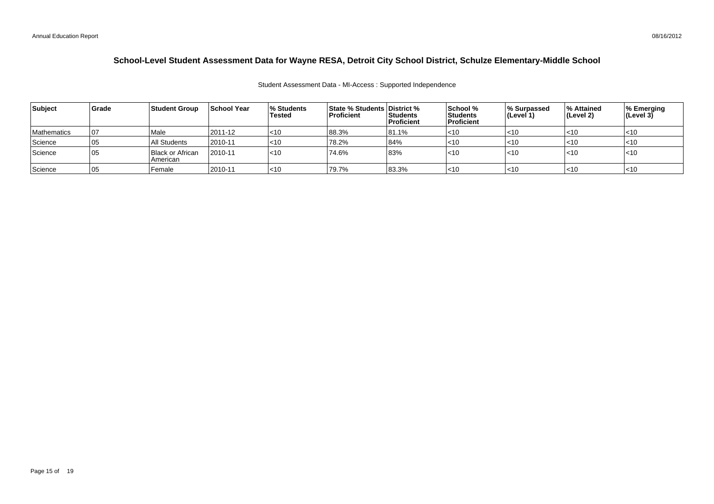#### Student Assessment Data - MI-Access : Supported Independence

| Subject            | Grade | <b>Student Group</b>         | <b>School Year</b> | % Students<br>Tested | <b>State % Students District %</b><br><b>Proficient</b> | <b>Students</b><br><b>Proficient</b> | School %<br>Students<br><b>Proficient</b> | <b>1% Surpassed</b><br>∣(Level 1) | ∣% Attained<br>∣(Level 2) | % Emerging<br> (Level 3) |
|--------------------|-------|------------------------------|--------------------|----------------------|---------------------------------------------------------|--------------------------------------|-------------------------------------------|-----------------------------------|---------------------------|--------------------------|
| <b>Mathematics</b> | 07    | l Male                       | 2011-12            | $ $ < 10             | 88.3%                                                   | 81.1%                                | $<$ 10                                    | ∣<10                              | $ $ < 10                  | $<$ 10                   |
| Science            | 05    | All Students                 | 2010-11            | $ $ < 10             | 78.2%                                                   | 84%                                  | $<$ 10                                    | $ $ < 10                          | $ $ < 10                  | '<10                     |
| <b>Science</b>     | 05    | Black or African<br>American | 2010-11            | $ $ < 10             | 74.6%                                                   | 83%                                  | $<$ 10                                    | $ $ < 10                          | <10                       | l<10                     |
| Science            | 05    | Female                       | 2010-11            | $<$ 10               | 79.7%                                                   | 83.3%                                | $ $ < 10                                  | ∣<10                              | $ $ < 10                  | $<$ 10                   |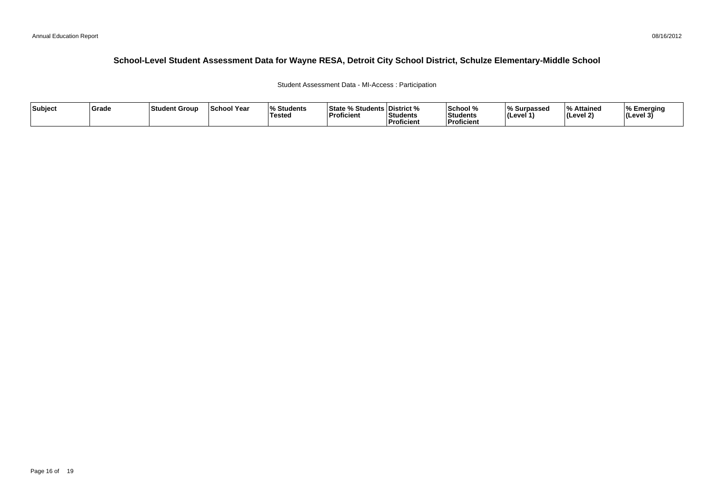Student Assessment Data - MI-Access : Participation

| Subject | Grade | Student Group | <b>School Year</b> | $\Omega$<br>Students<br><b>Tested</b> | <b>State % Students District %</b><br>'Proficient | Students<br>Proficient | School %<br>Students<br><b>Proficient</b> | % Surpassed<br>(Level 1 | % Attained<br>l (Level 2) | ∣% Emeraina<br> (Level 3) |
|---------|-------|---------------|--------------------|---------------------------------------|---------------------------------------------------|------------------------|-------------------------------------------|-------------------------|---------------------------|---------------------------|
|---------|-------|---------------|--------------------|---------------------------------------|---------------------------------------------------|------------------------|-------------------------------------------|-------------------------|---------------------------|---------------------------|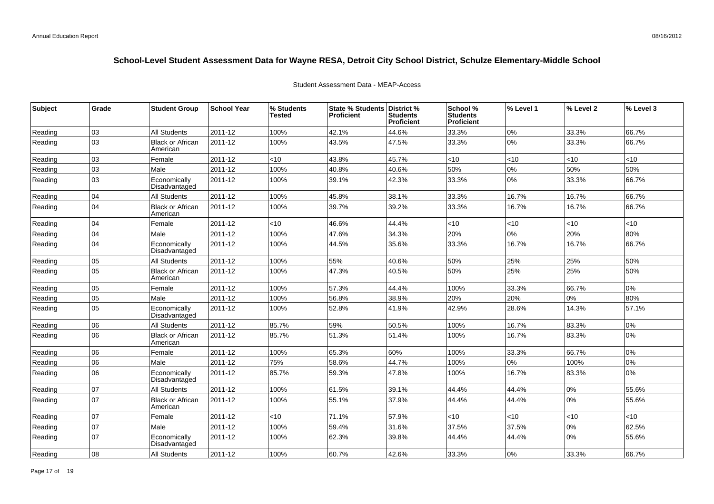| <b>Subject</b> | Grade | <b>Student Group</b>                | <b>School Year</b> | % Students<br>Tested | State % Students District %<br><b>Proficient</b> | <b>Students</b><br><b>Proficient</b> | School %<br><b>Students</b><br><b>Proficient</b> | % Level 1 | % Level 2 | % Level 3 |
|----------------|-------|-------------------------------------|--------------------|----------------------|--------------------------------------------------|--------------------------------------|--------------------------------------------------|-----------|-----------|-----------|
| Reading        | 03    | <b>All Students</b>                 | 2011-12            | 100%                 | 42.1%                                            | 44.6%                                | 33.3%                                            | 0%        | 33.3%     | 66.7%     |
| Reading        | 03    | <b>Black or African</b><br>American | 2011-12            | 100%                 | 43.5%                                            | 47.5%                                | 33.3%                                            | 0%        | 33.3%     | 66.7%     |
| Reading        | 03    | Female                              | 2011-12            | < 10                 | 43.8%                                            | 45.7%                                | <10                                              | < 10      | <10       | <10       |
| Reading        | 03    | Male                                | 2011-12            | 100%                 | 40.8%                                            | 40.6%                                | 50%                                              | 0%        | 50%       | 50%       |
| Reading        | 03    | Economically<br>Disadvantaged       | 2011-12            | 100%                 | 39.1%                                            | 42.3%                                | 33.3%                                            | 0%        | 33.3%     | 66.7%     |
| Reading        | 04    | All Students                        | 2011-12            | 100%                 | 45.8%                                            | 38.1%                                | 33.3%                                            | 16.7%     | 16.7%     | 66.7%     |
| Reading        | 04    | <b>Black or African</b><br>American | 2011-12            | 100%                 | 39.7%                                            | 39.2%                                | 33.3%                                            | 16.7%     | 16.7%     | 66.7%     |
| Reading        | 04    | Female                              | 2011-12            | <10                  | 46.6%                                            | 44.4%                                | <10                                              | < 10      | $<10$     | $<$ 10    |
| Reading        | 04    | Male                                | 2011-12            | 100%                 | 47.6%                                            | 34.3%                                | 20%                                              | 0%        | 20%       | 80%       |
| Reading        | 04    | Economically<br>Disadvantaged       | 2011-12            | 100%                 | 44.5%                                            | 35.6%                                | 33.3%                                            | 16.7%     | 16.7%     | 66.7%     |
| Reading        | 05    | <b>All Students</b>                 | 2011-12            | 100%                 | 55%                                              | 40.6%                                | 50%                                              | 25%       | 25%       | 50%       |
| Reading        | 05    | <b>Black or African</b><br>American | 2011-12            | 100%                 | 47.3%                                            | 40.5%                                | 50%                                              | 25%       | 25%       | 50%       |
| Reading        | 05    | Female                              | 2011-12            | 100%                 | 57.3%                                            | 44.4%                                | 100%                                             | 33.3%     | 66.7%     | 0%        |
| Reading        | 05    | Male                                | 2011-12            | 100%                 | 56.8%                                            | 38.9%                                | 20%                                              | 20%       | 0%        | 80%       |
| Reading        | 05    | Economically<br>Disadvantaged       | 2011-12            | 100%                 | 52.8%                                            | 41.9%                                | 42.9%                                            | 28.6%     | 14.3%     | 57.1%     |
| Reading        | 06    | <b>All Students</b>                 | 2011-12            | 85.7%                | 59%                                              | 50.5%                                | 100%                                             | 16.7%     | 83.3%     | 0%        |
| Reading        | 06    | <b>Black or African</b><br>American | 2011-12            | 85.7%                | 51.3%                                            | 51.4%                                | 100%                                             | 16.7%     | 83.3%     | 0%        |
| Reading        | 06    | Female                              | 2011-12            | 100%                 | 65.3%                                            | 60%                                  | 100%                                             | 33.3%     | 66.7%     | 0%        |
| Reading        | 06    | Male                                | 2011-12            | 75%                  | 58.6%                                            | 44.7%                                | 100%                                             | 0%        | 100%      | 0%        |
| Reading        | 06    | Economically<br>Disadvantaged       | 2011-12            | 85.7%                | 59.3%                                            | 47.8%                                | 100%                                             | 16.7%     | 83.3%     | 0%        |
| Reading        | 07    | All Students                        | 2011-12            | 100%                 | 61.5%                                            | 39.1%                                | 44.4%                                            | 44.4%     | $0\%$     | 55.6%     |
| Reading        | 07    | <b>Black or African</b><br>American | 2011-12            | 100%                 | 55.1%                                            | 37.9%                                | 44.4%                                            | 44.4%     | 0%        | 55.6%     |
| Reading        | 07    | Female                              | 2011-12            | <10                  | 71.1%                                            | 57.9%                                | <10                                              | <10       | < 10      | <10       |
| Reading        | 07    | Male                                | 2011-12            | 100%                 | 59.4%                                            | 31.6%                                | 37.5%                                            | 37.5%     | 0%        | 62.5%     |
| Reading        | 07    | Economically<br>Disadvantaged       | 2011-12            | 100%                 | 62.3%                                            | 39.8%                                | 44.4%                                            | 44.4%     | 0%        | 55.6%     |
| Reading        | 08    | <b>All Students</b>                 | 2011-12            | 100%                 | 60.7%                                            | 42.6%                                | 33.3%                                            | 0%        | 33.3%     | 66.7%     |

#### Student Assessment Data - MEAP-Access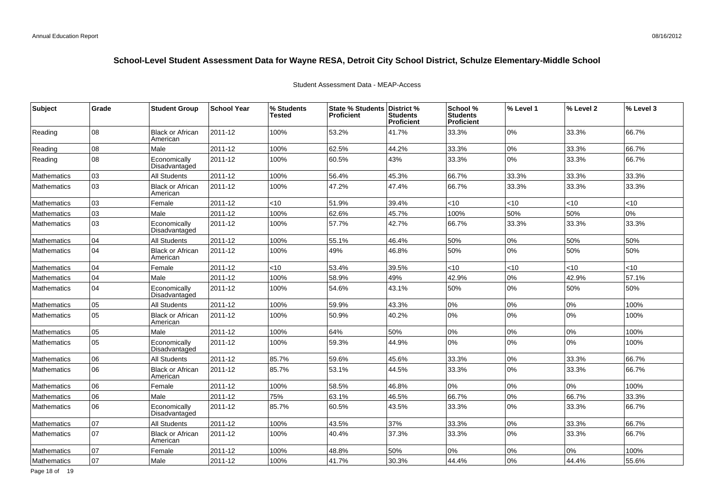| Subject            | Grade | <b>Student Group</b>                | <b>School Year</b> | % Students<br>Tested | State % Students   District %<br><b>Proficient</b> | <b>Students</b><br><b>Proficient</b> | School %<br><b>Students</b><br><b>Proficient</b> | % Level 1 | % Level 2 | % Level 3 |
|--------------------|-------|-------------------------------------|--------------------|----------------------|----------------------------------------------------|--------------------------------------|--------------------------------------------------|-----------|-----------|-----------|
| Reading            | 08    | <b>Black or African</b><br>American | 2011-12            | 100%                 | 53.2%                                              | 41.7%                                | 33.3%                                            | 0%        | 33.3%     | 66.7%     |
| Reading            | 08    | Male                                | 2011-12            | 100%                 | 62.5%                                              | 44.2%                                | 33.3%                                            | 0%        | 33.3%     | 66.7%     |
| Reading            | 08    | Economically<br>Disadvantaged       | 2011-12            | 100%                 | 60.5%                                              | 43%                                  | 33.3%                                            | 0%        | 33.3%     | 66.7%     |
| Mathematics        | 03    | <b>All Students</b>                 | 2011-12            | 100%                 | 56.4%                                              | 45.3%                                | 66.7%                                            | 33.3%     | 33.3%     | 33.3%     |
| Mathematics        | 03    | <b>Black or African</b><br>American | 2011-12            | 100%                 | 47.2%                                              | 47.4%                                | 66.7%                                            | 33.3%     | 33.3%     | 33.3%     |
| Mathematics        | 03    | Female                              | 2011-12            | <10                  | 51.9%                                              | 39.4%                                | <10                                              | <10       | < 10      | <10       |
| Mathematics        | 03    | Male                                | 2011-12            | 100%                 | 62.6%                                              | 45.7%                                | 100%                                             | 50%       | 50%       | 0%        |
| Mathematics        | 03    | Economically<br>Disadvantaged       | 2011-12            | 100%                 | 57.7%                                              | 42.7%                                | 66.7%                                            | 33.3%     | 33.3%     | 33.3%     |
| Mathematics        | 04    | <b>All Students</b>                 | 2011-12            | 100%                 | 55.1%                                              | 46.4%                                | 50%                                              | 0%        | 50%       | 50%       |
| <b>Mathematics</b> | 04    | <b>Black or African</b><br>American | 2011-12            | 100%                 | 49%                                                | 46.8%                                | 50%                                              | 0%        | 50%       | 50%       |
| <b>Mathematics</b> | 04    | Female                              | 2011-12            | $<$ 10               | 53.4%                                              | 39.5%                                | <10                                              | $<$ 10    | $<$ 10    | <10       |
| <b>Mathematics</b> | 04    | Male                                | 2011-12            | 100%                 | 58.9%                                              | 49%                                  | 42.9%                                            | 0%        | 42.9%     | 57.1%     |
| <b>Mathematics</b> | 04    | Economically<br>Disadvantaged       | 2011-12            | 100%                 | 54.6%                                              | 43.1%                                | 50%                                              | 0%        | 50%       | 50%       |
| Mathematics        | 05    | <b>All Students</b>                 | 2011-12            | 100%                 | 59.9%                                              | 43.3%                                | 0%                                               | 0%        | 0%        | 100%      |
| <b>Mathematics</b> | 05    | <b>Black or African</b><br>American | 2011-12            | 100%                 | 50.9%                                              | 40.2%                                | 0%                                               | 0%        | 0%        | 100%      |
| Mathematics        | 05    | Male                                | 2011-12            | 100%                 | 64%                                                | 50%                                  | 0%                                               | 0%        | 0%        | 100%      |
| Mathematics        | 05    | Economically<br>Disadvantaged       | 2011-12            | 100%                 | 59.3%                                              | 44.9%                                | 0%                                               | 0%        | 0%        | 100%      |
| <b>Mathematics</b> | 06    | <b>All Students</b>                 | 2011-12            | 85.7%                | 59.6%                                              | 45.6%                                | 33.3%                                            | 0%        | 33.3%     | 66.7%     |
| Mathematics        | 06    | <b>Black or African</b><br>American | 2011-12            | 85.7%                | 53.1%                                              | 44.5%                                | 33.3%                                            | 0%        | 33.3%     | 66.7%     |
| Mathematics        | 06    | Female                              | 2011-12            | 100%                 | 58.5%                                              | 46.8%                                | 0%                                               | 0%        | 0%        | 100%      |
| Mathematics        | 06    | Male                                | 2011-12            | 75%                  | 63.1%                                              | 46.5%                                | 66.7%                                            | 0%        | 66.7%     | 33.3%     |
| Mathematics        | 06    | Economically<br>Disadvantaged       | 2011-12            | 85.7%                | 60.5%                                              | 43.5%                                | 33.3%                                            | 0%        | 33.3%     | 66.7%     |
| Mathematics        | 07    | <b>All Students</b>                 | 2011-12            | 100%                 | 43.5%                                              | 37%                                  | 33.3%                                            | 0%        | 33.3%     | 66.7%     |
| Mathematics        | 07    | <b>Black or African</b><br>American | 2011-12            | 100%                 | 40.4%                                              | 37.3%                                | 33.3%                                            | 0%        | 33.3%     | 66.7%     |
| Mathematics        | 07    | Female                              | 2011-12            | 100%                 | 48.8%                                              | 50%                                  | 0%                                               | 0%        | 0%        | 100%      |
| Mathematics        | 07    | Male                                | 2011-12            | 100%                 | 41.7%                                              | 30.3%                                | 44.4%                                            | 0%        | 44.4%     | 55.6%     |

### Student Assessment Data - MEAP-Access